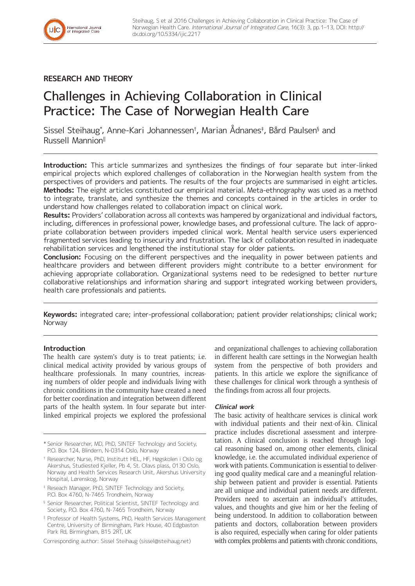

# **RESEARCH AND THEORY**

# Challenges in Achieving Collaboration in Clinical Practice: The Case of Norwegian Health Care

Sissel Steihaug\* , Anne-Kari Johannessen† , Marian Ådnanes‡ , Bård Paulsen§ and Russell Mannion<sup>ǁ</sup>

**Introduction:** This article summarizes and synthesizes the findings of four separate but inter-linked empirical projects which explored challenges of collaboration in the Norwegian health system from the perspectives of providers and patients. The results of the four projects are summarised in eight articles. **Methods:** The eight articles constituted our empirical material. Meta-ethnography was used as a method to integrate, translate, and synthesize the themes and concepts contained in the articles in order to understand how challenges related to collaboration impact on clinical work.

**Results:** Providers' collaboration across all contexts was hampered by organizational and individual factors, including, differences in professional power, knowledge bases, and professional culture. The lack of appropriate collaboration between providers impeded clinical work. Mental health service users experienced fragmented services leading to insecurity and frustration. The lack of collaboration resulted in inadequate rehabilitation services and lengthened the institutional stay for older patients.

**Conclusion:** Focusing on the different perspectives and the inequality in power between patients and healthcare providers and between different providers might contribute to a better environment for achieving appropriate collaboration. Organizational systems need to be redesigned to better nurture collaborative relationships and information sharing and support integrated working between providers, health care professionals and patients.

**Keywords:** integrated care; inter-professional collaboration; patient provider relationships; clinical work; Norway

# **Introduction**

The health care system's duty is to treat patients; i.e. clinical medical activity provided by various groups of healthcare professionals. In many countries, increasing numbers of older people and individuals living with chronic conditions in the community have created a need for better coordination and integration between different parts of the health system. In four separate but interlinked empirical projects we explored the professional

- ‡ Reseach Manager, PhD, SINTEF Technology and Society, P.O. Box 4760, N-7465 Trondheim, Norway
- <sup>§</sup> Senior Researcher, Political Scientist, SINTEF Technology and Society, P.O. Box 4760, N-7465 Trondheim, Norway
- <sup>ǁ</sup> Professor of Health Systems, PhD, Health Services Management Centre, University of Birmingham, Park House, 40 Edgbaston Park Rd, Birmingham, B15 2RT, UK

Corresponding author: Sissel Steihaug [\(sissel@steihaug.net\)](mailto:sissel@steihaug.net)

and organizational challenges to achieving collaboration in different health care settings in the Norwegian health system from the perspective of both providers and patients. In this article we explore the significance of these challenges for clinical work through a synthesis of the findings from across all four projects.

# **Clinical work**

The basic activity of healthcare services is clinical work with individual patients and their next-of-kin. Clinical practice includes discretional assessment and interpretation. A clinical conclusion is reached through logical reasoning based on, among other elements, clinical knowledge, i.e. the accumulated individual experience of work with patients. Communication is essential to delivering good quality medical care and a meaningful relationship between patient and provider is essential. Patients are all unique and individual patient needs are different. Providers need to ascertain an individual's attitudes, values, and thoughts and give him or her the feeling of being understood. In addition to collaboration between patients and doctors, collaboration between providers is also required, especially when caring for older patients with complex problems and patients with chronic conditions,

<sup>\*</sup> Senior Researcher, MD, PhD, SINTEF Technology and Society, P.O. Box 124, Blindern, N-0314 Oslo, Norway

<sup>†</sup> Researcher, Nurse, PhD, Institutt HEL, HF, Høgskolen i Oslo og Akershus, Studiested Kjeller, Pb 4, St. Olavs plass, 0130 Oslo, Norway and Health Services Research Unit, Akershus University Hospital, Lørenskog, Norway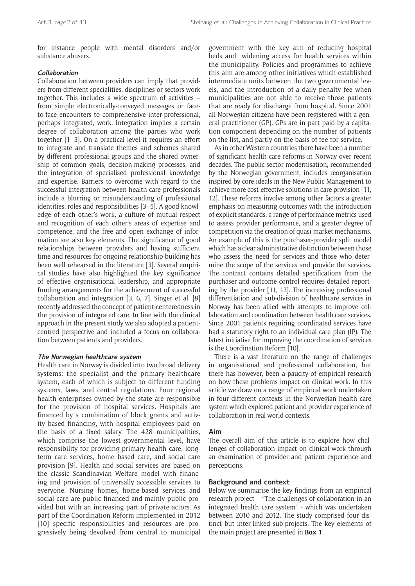for instance people with mental disorders and/or substance abusers.

# **Collaboration**

Collaboration between providers can imply that providers from different specialities, disciplines or sectors work together. This includes a wide spectrum of activities – from simple electronically-conveyed messages or faceto-face encounters to comprehensive inter-professional, perhaps integrated, work. Integration implies a certain degree of collaboration among the parties who work together [1–3]. On a practical level it requires an effort to integrate and translate themes and schemes shared by different professional groups and the shared ownership of common goals, decision-making processes, and the integration of specialised professional knowledge and expertise. Barriers to overcome with regard to the successful integration between health care professionals include a blurring or misunderstanding of professional identities, roles and responsibilities [3–5]. A good knowledge of each other's work, a culture of mutual respect and recognition of each other's areas of expertise and competence, and the free and open exchange of information are also key elements. The significance of good relationships between providers and having sufficient time and resources for ongoing relationship-building has been well rehearsed in the literature [3]. Several empirical studies have also highlighted the key significance of effective organisational leadership, and appropriate funding arrangements for the achievement of successful collaboration and integration [3, 6, 7]. Singer et al. [8] recently addressed the concept of patient-centeredness in the provision of integrated care. In line with the clinical approach in the present study we also adopted a patientcentred perspective and included a focus on collaboration between patients and providers.

#### **The Norwegian healthcare system**

Health care in Norway is divided into two broad delivery systems: the specialist and the primary healthcare system, each of which is subject to different funding systems, laws, and central regulations. Four regional health enterprises owned by the state are responsible for the provision of hospital services. Hospitals are financed by a combination of block grants and activity based financing, with hospital employees paid on the basis of a fixed salary. The 428 municipalities, which comprise the lowest governmental level, have responsibility for providing primary health care, longterm care services, home based care, and social care provision [9]. Health and social services are based on the classic Scandinavian Welfare model with financing and provision of universally accessible services to everyone. Nursing homes, home-based services and social care are public financed and mainly public provided but with an increasing part of private actors. As part of the Coordination Reform implemented in 2012 [10] specific responsibilities and resources are progressively being devolved from central to municipal

government with the key aim of reducing hospital beds and widening access for health services within the municipality. Policies and programmes to achieve this aim are among other initiatives which established intermediate units between the two governmental levels, and the introduction of a daily penalty fee when municipalities are not able to receive those patients that are ready for discharge from hospital. Since 2001 all Norwegian citizens have been registered with a general practitioner (GP). GPs are in part paid by a capitation component depending on the number of patients on the list, and partly on the basis of fee-for-service.

As in other Western countries there have been a number of significant health care reforms in Norway over recent decades. The public sector modernisation, recommended by the Norwegian government, includes reorganisation inspired by core ideals in the New Public Management to achieve more cost-effective solutions in care provision [11, 12]. These reforms involve among other factors a greater emphasis on measuring outcomes with the introduction of explicit standards, a range of performance metrics used to assess provider performance, and a greater degree of competition via the creation of quasi-market mechanisms. An example of this is the purchaser-provider split model which has a clear administrative distinction between those who assess the need for services and those who determine the scope of the services and provide the services. The contract contains detailed specifications from the purchaser and outcome control requires detailed reporting by the provider [11, 12]. The increasing professional differentiation and sub-division of healthcare services in Norway has been allied with attempts to improve collaboration and coordination between health care services. Since 2001 patients requiring coordinated services have had a statutory right to an individual care plan (IP). The latest initiative for improving the coordination of services is the Coordination Reform [10].

There is a vast literature on the range of challenges in organisational and professional collaboration, but there has however, been a paucity of empirical research on how these problems impact on clinical work. In this article we draw on a range of empirical work undertaken in four different contexts in the Norwegian health care system which explored patient and provider experience of collaboration in real world contexts.

#### **Aim**

The overall aim of this article is to explore how challenges of collaboration impact on clinical work through an examination of provider and patient experience and perceptions.

## **Background and context**

Below we summarise the key findings from an empirical research project – "The challenges of collaboration in an integrated health care system" - which was undertaken between 2010 and 2012. The study comprised four distinct but inter-linked sub-projects. The key elements of the main project are presented in **Box 1**.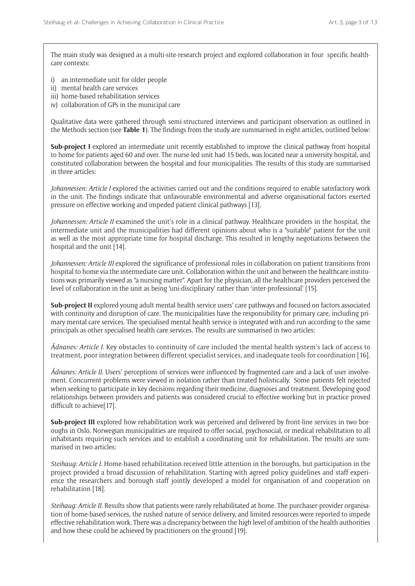The main study was designed as a multi-site-research project and explored collaboration in four specific healthcare contexts:

- i) an intermediate unit for older people
- ii) mental health care services
- iii) home-based rehabilitation services
- iv) collaboration of GPs in the municipal care

Qualitative data were gathered through semi-structured interviews and participant observation as outlined in the Methods section (see **Table 1**). The findings from the study are summarised in eight articles, outlined below:

**Sub-project I** explored an intermediate unit recently established to improve the clinical pathway from hospital to home for patients aged 60 and over. The nurse-led unit had 15 beds, was located near a university hospital, and constituted collaboration between the hospital and four municipalities. The results of this study are summarised in three articles:

*Johannessen: Article I* explored the activities carried out and the conditions required to enable satisfactory work in the unit. The findings indicate that unfavourable environmental and adverse organisational factors exerted pressure on effective working and impeded patient clinical pathways [13].

*Johannessen: Article II* examined the unit's role in a clinical pathway. Healthcare providers in the hospital, the intermediate unit and the municipalities had different opinions about who is a "suitable" patient for the unit as well as the most appropriate time for hospital discharge. This resulted in lengthy negotiations between the hospital and the unit [14].

*Johannessen: Article III* explored the significance of professional roles in collaboration on patient transitions from hospital to home via the intermediate care unit. Collaboration within the unit and between the healthcare institutions was primarily viewed as "a nursing matter". Apart for the physician, all the healthcare providers perceived the level of collaboration in the unit as being 'uni-disciplinary' rather than 'inter-professional' [15].

**Sub-project II** explored young adult mental health service users' care pathways and focused on factors associated with continuity and disruption of care. The municipalities have the responsibility for primary care, including primary mental care services. The specialised mental health service is integrated with and run according to the same principals as other specialised health care services. The results are summarised in two articles:

*Ådnanes: Article I.* Key obstacles to continuity of care included the mental health system's lack of access to treatment, poor integration between different specialist services, and inadequate tools for coordination [16].

*Ådnanes: Article II.* Users' perceptions of services were influenced by fragmented care and a lack of user involvement. Concurrent problems were viewed in isolation rather than treated holistically. Some patients felt rejected when seeking to participate in key decisions regarding their medicine, diagnoses and treatment. Developing good relationships between providers and patients was considered crucial to effective working but in practice proved difficult to achieve[17].

**Sub-project III** explored how rehabilitation work was perceived and delivered by front-line services in two boroughs in Oslo. Norwegian municipalities are required to offer social, psychosocial, or medical rehabilitation to all inhabitants requiring such services and to establish a coordinating unit for rehabilitation. The results are summarised in two articles:

*Steihaug: Article I.* Home-based rehabilitation received little attention in the boroughs, but participation in the project provided a broad discussion of rehabilitation. Starting with agreed policy guidelines and staff experience the researchers and borough staff jointly developed a model for organisation of and cooperation on rehabilitation [18].

*Steihaug: Article II.* Results show that patients were rarely rehabilitated at home. The purchaser-provider organisation of home-based services, the rushed nature of service delivery, and limited resources were reported to impede effective rehabilitation work. There was a discrepancy between the high level of ambition of the health authorities and how these could be achieved by practitioners on the ground [19].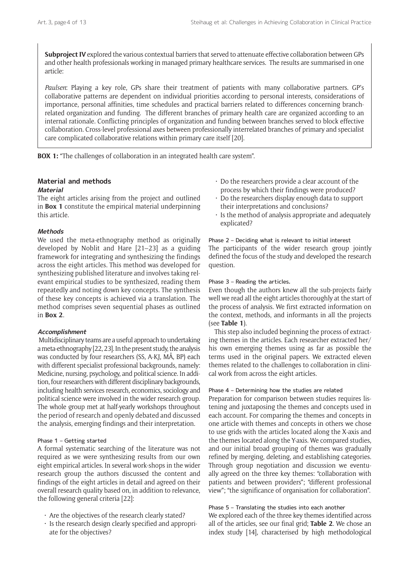**Subproject IV** explored the various contextual barriers that served to attenuate effective collaboration between GPs and other health professionals working in managed primary healthcare services. The results are summarised in one article:

*Paulsen*: Playing a key role, GPs share their treatment of patients with many collaborative partners. GP's collaborative patterns are dependent on individual priorities according to personal interests, considerations of importance, personal affinities, time schedules and practical barriers related to differences concerning branchrelated organization and funding. The different branches of primary health care are organized according to an internal rationale. Conflicting principles of organization and funding between branches served to block effective collaboration. Cross-level professional axes between professionally interrelated branches of primary and specialist care complicated collaborative relations within primary care itself [20].

**BOX 1:** "The challenges of collaboration in an integrated health care system".

# **Material and methods**

#### **Material**

The eight articles arising from the project and outlined in **Box 1** constitute the empirical material underpinning this article.

# **Methods**

We used the meta-ethnography method as originally developed by Noblit and Hare [21–23] as a guiding framework for integrating and synthesizing the findings across the eight articles. This method was developed for synthesizing published literature and involves taking relevant empirical studies to be synthesized, reading them repeatedly and noting down key concepts. The synthesis of these key concepts is achieved via a translation. The method comprises seven sequential phases as outlined in **Box 2**.

# **Accomplishment**

 Multidisciplinary teams are a useful approach to undertaking a meta-ethnography [22, 23]. In the present study, the analysis was conducted by four researchers (SS, A-KJ, MÅ, BP) each with different specialist professional backgrounds, namely: Medicine, nursing, psychology, and political science. In addition, four researchers with different disciplinary backgrounds, including health services research, economics, sociology and political science were involved in the wider research group. The whole group met at half-yearly workshops throughout the period of research and openly debated and discussed the analysis, emerging findings and their interpretation.

# Phase 1 – Getting started

A formal systematic searching of the literature was not required as we were synthesizing results from our own eight empirical articles. In several work-shops in the wider research group the authors discussed the content and findings of the eight articles in detail and agreed on their overall research quality based on, in addition to relevance, the following general criteria [22]:

- Are the objectives of the research clearly stated?
- Is the research design clearly specified and appropriate for the objectives?
- Do the researchers provide a clear account of the process by which their findings were produced?
- Do the researchers display enough data to support their interpretations and conclusions?
- Is the method of analysis appropriate and adequately explicated?

Phase 2 – Deciding what is relevant to initial interest The participants of the wider research group jointly defined the focus of the study and developed the research question.

#### Phase 3 – Reading the articles.

Even though the authors knew all the sub-projects fairly well we read all the eight articles thoroughly at the start of the process of analysis. We first extracted information on the context, methods, and informants in all the projects (see **Table 1**).

This step also included beginning the process of extracting themes in the articles. Each researcher extracted her/ his own emerging themes using as far as possible the terms used in the original papers. We extracted eleven themes related to the challenges to collaboration in clinical work from across the eight articles.

#### Phase 4 – Determining how the studies are related

Preparation for comparison between studies requires listening and juxtaposing the themes and concepts used in each account. For comparing the themes and concepts in one article with themes and concepts in others we chose to use grids with the articles located along the X-axis and the themes located along the Y-axis. We compared studies, and our initial broad grouping of themes was gradually refined by merging, deleting, and establishing categories. Through group negotiation and discussion we eventually agreed on the three key themes: "collaboration with patients and between providers"; "different professional view"; "the significance of organisation for collaboration".

#### Phase 5 – Translating the studies into each another

We explored each of the three key themes identified across all of the articles, see our final grid; **Table 2**. We chose an index study [14], characterised by high methodological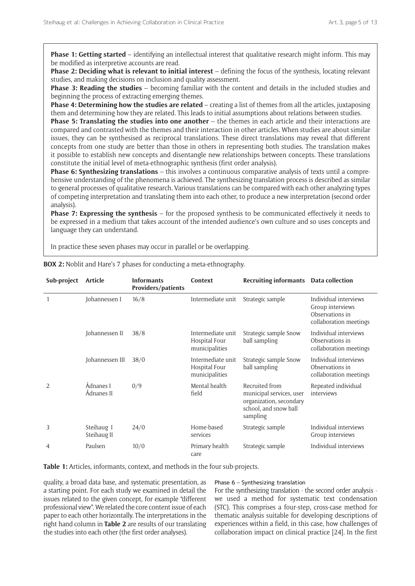**Phase 1: Getting started** – identifying an intellectual interest that qualitative research might inform. This may be modified as interpretive accounts are read.

**Phase 2: Deciding what is relevant to initial interest** – defining the focus of the synthesis, locating relevant studies, and making decisions on inclusion and quality assessment.

**Phase 3: Reading the studies** – becoming familiar with the content and details in the included studies and beginning the process of extracting emerging themes.

**Phase 4: Determining how the studies are related** – creating a list of themes from all the articles, juxtaposing them and determining how they are related. This leads to initial assumptions about relations between studies.

**Phase 5: Translating the studies into one another** – the themes in each article and their interactions are compared and contrasted with the themes and their interaction in other articles. When studies are about similar issues, they can be synthesised as reciprocal translations. These direct translations may reveal that different concepts from one study are better than those in others in representing both studies. The translation makes it possible to establish new concepts and disentangle new relationships between concepts. These translations constitute the initial level of meta-ethnographic synthesis (first order analysis).

**Phase 6: Synthesizing translations** – this involves a continuous comparative analysis of texts until a comprehensive understanding of the phenomena is achieved. The synthesizing translation process is described as similar to general processes of qualitative research. Various translations can be compared with each other analyzing types of competing interpretation and translating them into each other, to produce a new interpretation (second order analysis).

**Phase 7: Expressing the synthesis** – for the proposed synthesis to be communicated effectively it needs to be expressed in a medium that takes account of the intended audience's own culture and so uses concepts and language they can understand.

In practice these seven phases may occur in parallel or be overlapping.

| Sub-project    | <b>Article</b>            | <b>Informants</b><br>Providers/patients | Context                                              | Recruiting informants Data collection                                                                      |                                                                                        |
|----------------|---------------------------|-----------------------------------------|------------------------------------------------------|------------------------------------------------------------------------------------------------------------|----------------------------------------------------------------------------------------|
|                | Johannessen I             | 16/8                                    | Intermediate unit                                    | Strategic sample                                                                                           | Individual interviews<br>Group interviews<br>Observations in<br>collaboration meetings |
|                | Johannessen II            | 38/8                                    | Intermediate unit<br>Hospital Four<br>municipalities | Strategic sample Snow<br>ball sampling                                                                     | Individual interviews<br>Observations in<br>collaboration meetings                     |
|                | Johannessen III           | 38/0                                    | Intermediate unit<br>Hospital Four<br>municipalities | Strategic sample Snow<br>ball sampling                                                                     | Individual interviews<br>Observations in<br>collaboration meetings                     |
| $\mathfrak{D}$ | Ådnanes I<br>Ådnanes II   | 0/9                                     | Mental health<br>field                               | Recruited from<br>municipal services, user<br>organization, secondary<br>school, and snow ball<br>sampling | Repeated individual<br>interviews                                                      |
| 3              | Steihaug I<br>Steihaug II | 24/0                                    | Home-based<br>services                               | Strategic sample                                                                                           | Individual interviews<br>Group interviews                                              |
| 4              | Paulsen                   | 10/0                                    | Primary health<br>care                               | Strategic sample                                                                                           | Individual interviews                                                                  |

**BOX 2:** Noblit and Hare's 7 phases for conducting a meta-ethnography.

Table 1: Articles, informants, context, and methods in the four sub-projects.

quality, a broad data base, and systematic presentation, as a starting point. For each study we examined in detail the issues related to the given concept, for example "different professional view". We related the core content issue of each paper to each other horizontally. The interpretations in the right hand column in **Table 2** are results of our translating the studies into each other (the first order analyses).

#### Phase 6 – Synthesizing translation

For the synthesizing translation - the second order analysis we used a method for systematic text condensation (STC). This comprises a four-step, cross-case method for thematic analysis suitable for developing descriptions of experiences within a field, in this case, how challenges of collaboration impact on clinical practice [24]. In the first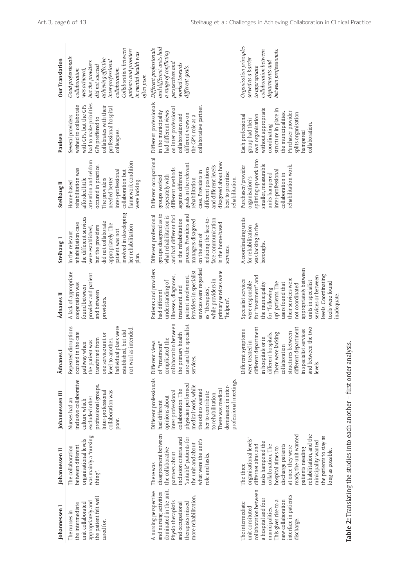| Johannessen                                                                                                                                                                               | Johannessen II                                                                                                                                                                                                                                                                                                        | Johannessen III                                                                                                                                                                                                                                                                           | Ådnanes                                                                                                                                                                                                                                                         | Ådnanes II                                                                                                                                                                                                                                                                                                               | Steihaug I                                                                                                                                                                                                                                                                     | Steihaug II                                                                                                                                                                                                                                                                          | Paulsen                                                                                                                                                                                                                   | Our Translation                                                                                                                                                                                                                                       |
|-------------------------------------------------------------------------------------------------------------------------------------------------------------------------------------------|-----------------------------------------------------------------------------------------------------------------------------------------------------------------------------------------------------------------------------------------------------------------------------------------------------------------------|-------------------------------------------------------------------------------------------------------------------------------------------------------------------------------------------------------------------------------------------------------------------------------------------|-----------------------------------------------------------------------------------------------------------------------------------------------------------------------------------------------------------------------------------------------------------------|--------------------------------------------------------------------------------------------------------------------------------------------------------------------------------------------------------------------------------------------------------------------------------------------------------------------------|--------------------------------------------------------------------------------------------------------------------------------------------------------------------------------------------------------------------------------------------------------------------------------|--------------------------------------------------------------------------------------------------------------------------------------------------------------------------------------------------------------------------------------------------------------------------------------|---------------------------------------------------------------------------------------------------------------------------------------------------------------------------------------------------------------------------|-------------------------------------------------------------------------------------------------------------------------------------------------------------------------------------------------------------------------------------------------------|
| the patient felt well<br>appropriately and<br>unit collaborated<br>the intermediate<br>The nurses in<br>cared for.                                                                        | was mainly a "nursing<br>organisational levels<br>between different<br>The collaboration<br>thing".                                                                                                                                                                                                                   | inclusive collaborative<br>professional groups.<br>collaboration was<br>Inter-professional<br>excluded other<br>Nurses had an<br>culture which<br>poor.                                                                                                                                   | disruptions<br>plans were<br>not worl as intended<br>established, but did<br>occured in the care<br>one service unit or<br>transferred from<br>level to another.<br>the patient was<br>pathway when<br>Individual<br>Repeated                                   | A lack of appropriate<br>provider and patient<br>cooperation was<br>found between<br>and between<br>providers.                                                                                                                                                                                                           | nvolved in developing<br>the different services<br>did not collaborate<br>rehabilitation case<br>appropriately. The<br>but the providers<br>ner rehabilitation<br>were established,<br>patient was not<br>In the relevant<br>plan.                                             | attention and seldom<br>tramework condition<br>occured in practice.<br>rehabilitation was<br>inter-professional<br>collaboration but<br>needed better<br>afforded little<br>The providers<br>were locking.<br>Home-based                                                             | had to make priorities.<br>wished to collaborate<br>with GPs, but the GPs<br>collabrates with their<br>professional hospital<br>Several providers<br>GPs preffered to<br>colleagues                                       | Collaboration between<br>patients and providers<br>in mental health was<br>Good professionals<br>achieving effective<br>inter-professional<br>but the providers<br>did not succeed<br>collaboration.<br>was achieved,<br>collaboration<br>often poor. |
| dominated in the unit.<br>A nursing perspective<br>and nursing activities<br>more rehabilitation.<br>Physio-therapistis<br>therapists missed<br>and occupational                          | disagreement between<br>inclusion criteria and<br>"suitable" patients for<br>what were the unit's<br>the unit and about<br>the collaborative<br>partners about<br>role and tasks.<br>There was                                                                                                                        | Different professionals<br>professional meetings<br>physician performed<br>medical work, while<br>dominance in inter-<br>collaboration. The<br>the others wanted<br>There was medical<br>inter-professional<br>her to contribute<br>to rehabilitation.<br>opinions about<br>had different | collaboration between<br>care and the specialist<br>the primary health<br>complicated the<br>Different views<br>of "treatment"<br>services.                                                                                                                     | Patients and providers<br>services were regarded<br>primary services were<br>Providers in specialist<br>illnesses, diagnoses,<br>patient involvment.<br>while providers in<br>understanding of<br>treatment, and<br>as "therapists",<br>had different<br>"helpers".                                                      | groups disagreed as to<br>Different professional<br>process. Providers and<br>what rehabilitation is<br>and had different foci<br>reducing the face-to-<br>face communication<br>n the rehabilitation<br>managers disagreed<br>in the home-based<br>on the aim of<br>services. | Different occupational<br>disagreed about how<br>goals in the relevant<br>and different levels<br>different positions<br>different methods<br>case. Providers in<br>againts different<br>best to prioritise<br>seperately with<br>groups worked<br>rehabilitation<br>rehabilitation. | Different professionals<br>collaborative partner.<br>on inter-professional<br>in the municipality<br>had different views<br>different views on<br>collaboration and<br>the GP's role as a                                 | and different units had<br>Different professionals<br>a range of conflicting<br>perspectives and<br>worked towards<br>different goals.                                                                                                                |
| collaboration between<br>interface in patients<br>a hospital and four<br>This gives rise to a<br>new collaboration<br>The intermediate<br>unit consituted<br>municipalities.<br>discharge | rehabilitation, and the<br>ready, the unit wanted<br>the patients to stay as<br>organisational levels'<br>minicipality wanted<br>tasks hampered the<br>differnet aims and<br>collaboration. The<br>discharge patients<br>at once they were<br>hospital aimes to<br>patients needing<br>long as possible.<br>The three |                                                                                                                                                                                                                                                                                           | different department<br>different department<br>and between the two<br>in specialist services<br>symptoms<br>structures between<br>There were lacking<br>different hospitals.<br>in hospitals or in<br>were treated in<br>collaboration<br>Different<br>levels. | appropriately between<br>evels, Coordinating<br>services or between<br>for "treatment" and<br>their services were<br>Specialist services<br>units in specialist<br>were responsible<br>up" patients. The<br>cools were found<br>the municipality<br>users found that<br>not coordinated<br>for "following<br>inadequate. | A coordinating units<br>was lacking in the<br>for rehabilitation<br>boroughs.                                                                                                                                                                                                  | splitting up work into<br>smaller, measurable<br>Purchaser/provider<br>rehabilitation work<br>inter-professional<br>collaboration in<br>units hampered<br>organisation's                                                                                                             | without appropriate<br>structure in place in<br>Purchaser provider<br>the municipalities.<br>splits organisation<br>own organisation<br>Each professional<br>group had their<br>collaboration<br>coordinating<br>hampered | Organisation principles<br>between professionals.<br>collaboration between<br>served as a barrier<br>departments and<br>to appropriate                                                                                                                |
|                                                                                                                                                                                           |                                                                                                                                                                                                                                                                                                                       | Table 2: Translating the studies into each another - first order analysis.                                                                                                                                                                                                                |                                                                                                                                                                                                                                                                 |                                                                                                                                                                                                                                                                                                                          |                                                                                                                                                                                                                                                                                |                                                                                                                                                                                                                                                                                      |                                                                                                                                                                                                                           |                                                                                                                                                                                                                                                       |

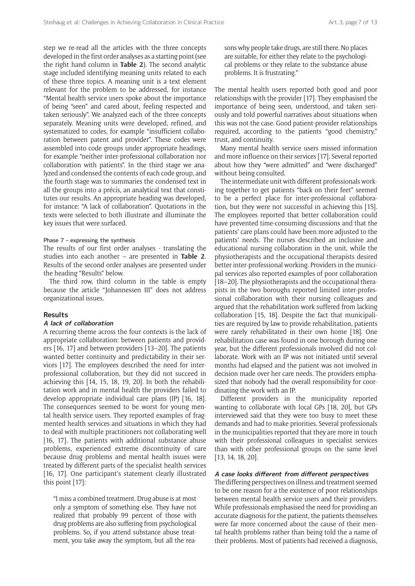step we re-read all the articles with the three concepts developed in the first order analyses as a starting point (see the right hand column in **Table 2**). The second analytic stage included identifying meaning units related to each of these three topics. A meaning unit is a text element relevant for the problem to be addressed, for instance "Mental health service users spoke about the importance of being "seen" and cared about, feeling respected and taken seriously". We analyzed each of the three concepts separately. Meaning units were developed, refined, and systematized to codes, for example "insufficient collaboration between patent and provider". These codes were assembled into code groups under appropriate headings, for example "neither inter-professional collaboration nor collaboration with patients". In the third stage we analyzed and condensed the contents of each code group, and the fourth stage was to summaries the condensed text in all the groups into a précis, an analytical text that constitutes our results. An appropriate heading was developed, for instance: "A lack of collaboration". Quotations in the texts were selected to both illustrate and illuminate the key issues that were surfaced.

#### Phase 7 – expressing the synthesis

The results of our first order analyses - translating the studies into each another – are presented in **Table 2**. Results of the second order analyses are presented under the heading "Results" below.

The third row, third column in the table is empty because the article "Johannessen III" does not address organizational issues.

#### **Results**

#### **A lack of collaboration**

A recurring theme across the four contexts is the lack of appropriate collaboration: between patients and providers [16, 17] and between providers [13–20]. The patients wanted better continuity and predictability in their services [17]. The employees described the need for interprofessional collaboration, but they did not succeed in achieving this [14, 15, 18, 19, 20]. In both the rehabilitation work and in mental health the providers failed to develop appropriate individual care plans (IP) [16, 18]. The consequences seemed to be worst for young mental health service users. They reported examples of fragmented health services and situations in which they had to deal with multiple practitioners not collaborating well [16, 17]. The patients with additional substance abuse problems, experienced extreme discontinuity of care because drug problems and mental health issues were treated by different parts of the specialist health services [16, 17]. One participant's statement clearly illustrated this point [17]:

"I miss a combined treatment. Drug abuse is at most only a symptom of something else. They have not realized that probably 99 percent of those with drug problems are also suffering from psychological problems. So, if you attend substance abuse treatment, you take away the symptom, but all the reasons why people take drugs, are still there. No places are suitable, for either they relate to the psychological problems or they relate to the substance abuse problems. It is frustrating."

The mental health users reported both good and poor relationships with the provider [17]. They emphasised the importance of being seen, understood, and taken seriously and told powerful narratives about situations when this was not the case. Good patient-provider relationships required, according to the patients "good chemistry," trust, and continuity.

Many mental health service users missed information and more influence on their services [17]. Several reported about how they "were admitted" and "were discharged" without being consulted.

The intermediate unit with different professionals working together to get patients "back on their feet" seemed to be a perfect place for inter-professional collaboration, but they were not successful in achieving this [15]. The employees reported that better collaboration could have prevented time-consuming discussions and that the patients' care plans could have been more adjusted to the patients' needs. The nurses described an inclusive and educational nursing collaboration in the unit, while the physiotherapists and the occupational therapists desired better inter-professional working. Providers in the municipal services also reported examples of poor collaboration [18–20]. The physiotherapists and the occupational therapists in the two boroughs reported limited inter-professional collaboration with their nursing colleagues and argued that the rehabilitation work suffered from lacking collaboration [15, 18]. Despite the fact that municipalities are required by law to provide rehabilitation, patients were rarely rehabilitated in their own home [18]. One rehabilitation case was found in one borough during one year, but the different professionals involved did not collaborate. Work with an IP was not initiated until several months had elapsed and the patient was not involved in decision made over her care needs. The providers emphasized that nobody had the overall responsibility for coordinating the work with an IP.

Different providers in the municipality reported wanting to collaborate with local GPs [18, 20], but GPs interviewed said that they were too busy to meet these demands and had to make priorities. Several professionals in the municipalities reported that they are more in touch with their professional colleagues in specialist services than with other professional groups on the same level [13, 14, 18, 20].

#### **A case looks different from different perspectives**

The differing perspectives on illness and treatment seemed to be one reason for a the existence of poor relationships between mental health service users and their providers. While professionals emphasised the need for providing an accurate diagnosis for the patient, the patients themselves were far more concerned about the cause of their mental health problems rather than being told the a name of their problems. Most of patients had received a diagnosis,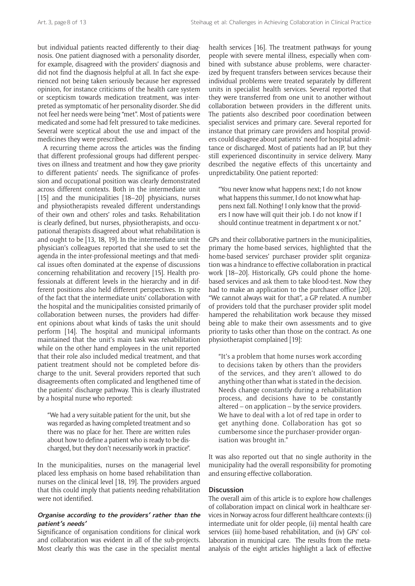but individual patients reacted differently to their diagnosis. One patient diagnosed with a personality disorder, for example, disagreed with the providers' diagnosis and did not find the diagnosis helpful at all. In fact she experienced not being taken seriously because her expressed opinion, for instance criticisms of the health care system or scepticism towards medication treatment, was interpreted as symptomatic of her personality disorder. She did not feel her needs were being "met". Most of patients were medicated and some had felt pressured to take medicines. Several were sceptical about the use and impact of the medicines they were prescribed.

A recurring theme across the articles was the finding that different professional groups had different perspectives on illness and treatment and how they gave priority to different patients' needs. The significance of profession and occupational position was clearly demonstrated across different contexts. Both in the intermediate unit [15] and the municipalities [18-20] physicians, nurses and physiotherapists revealed different understandings of their own and others' roles and tasks. Rehabilitation is clearly defined, but nurses, physiotherapists, and occupational therapists disagreed about what rehabilitation is and ought to be [13, 18, 19]. In the intermediate unit the physician's colleagues reported that she used to set the agenda in the inter-professional meetings and that medical issues often dominated at the expense of discussions concerning rehabilitation and recovery [15]. Health professionals at different levels in the hierarchy and in different positions also held different perspectives. In spite of the fact that the intermediate units' collaboration with the hospital and the municipalities consisted primarily of collaboration between nurses, the providers had different opinions about what kinds of tasks the unit should perform [14]. The hospital and municipal informants maintained that the unit's main task was rehabilitation while on the other hand employees in the unit reported that their role also included medical treatment, and that patient treatment should not be completed before discharge to the unit. Several providers reported that such disagreements often complicated and lengthened time of the patients' discharge pathway. This is clearly illustrated by a hospital nurse who reported:

"We had a very suitable patient for the unit, but she was regarded as having completed treatment and so there was no place for her. There are written rules about how to define a patient who is ready to be discharged, but they don't necessarily work in practice".

In the municipalities, nurses on the managerial level placed less emphasis on home based rehabilitation than nurses on the clinical level [18, 19]. The providers argued that this could imply that patients needing rehabilitation were not identified.

## **Organise according to the providers' rather than the patient's needs'**

Significance of organisation conditions for clinical work and collaboration was evident in all of the sub-projects. Most clearly this was the case in the specialist mental

health services [16]. The treatment pathways for young people with severe mental illness, especially when combined with substance abuse problems, were characterized by frequent transfers between services because their individual problems were treated separately by different units in specialist health services. Several reported that they were transferred from one unit to another without collaboration between providers in the different units. The patients also described poor coordination between specialist services and primary care. Several reported for instance that primary care providers and hospital providers could disagree about patients' need for hospital admittance or discharged. Most of patients had an IP, but they still experienced discontinuity in service delivery. Many described the negative effects of this uncertainty and unpredictability. One patient reported:

"You never know what happens next; I do not know what happens this summer, I do not know what happens next fall. Nothing! I only know that the providers I now have will quit their job. I do not know if I should continue treatment in department x or not."

GPs and their collaborative partners in the municipalities, primary the home-based services, highlighted that the home-based services' purchaser provider split organization was a hindrance to effective collaboration in practical work [18–20]. Historically, GPs could phone the homebased services and ask them to take blood-test. Now they had to make an application to the purchaser office [20]. "We cannot always wait for that", a GP related. A number of providers told that the purchaser provider split model hampered the rehabilitation work because they missed being able to make their own assessments and to give priority to tasks other than those on the contract. As one physiotherapist complained [19]:

"It's a problem that home nurses work according to decisions taken by others than the providers of the services, and they aren't allowed to do anything other than what is stated in the decision. Needs change constantly during a rehabilitation process, and decisions have to be constantly altered – on application – by the service providers. We have to deal with a lot of red tape in order to get anything done. Collaboration has got so cumbersome since the purchaser-provider organisation was brought in."

It was also reported out that no single authority in the municipality had the overall responsibility for promoting and ensuring effective collaboration.

# **Discussion**

The overall aim of this article is to explore how challenges of collaboration impact on clinical work in healthcare services in Norway across four different healthcare contexts: (i) intermediate unit for older people, (ii) mental health care services (iii) home-based rehabilitation, and (iv) GPs' collaboration in municipal care. The results from the metaanalysis of the eight articles highlight a lack of effective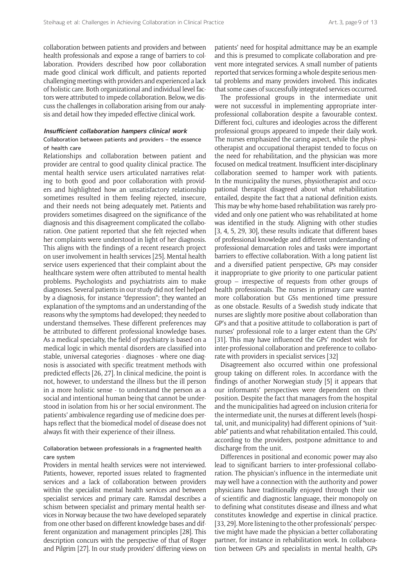collaboration between patients and providers and between health professionals and expose a range of barriers to collaboration. Providers described how poor collaboration made good clinical work difficult, and patients reported challenging meetings with providers and experienced a lack of holistic care. Both organizational and individual level factors were attributed to impede collaboration. Below, we discuss the challenges in collaboration arising from our analysis and detail how they impeded effective clinical work.

#### **Insufficient collaboration hampers clinical work**

#### Collaboration between patients and providers – the essence of health care

Relationships and collaboration between patient and provider are central to good quality clinical practice. The mental health service users articulated narratives relating to both good and poor collaboration with providers and highlighted how an unsatisfactory relationship sometimes resulted in them feeling rejected, insecure, and their needs not being adequately met. Patients and providers sometimes disagreed on the significance of the diagnosis and this disagreement complicated the collaboration. One patient reported that she felt rejected when her complaints were understood in light of her diagnosis. This aligns with the findings of a recent research project on user involvement in health services [25]. Mental health service users experienced that their complaint about the healthcare system were often attributed to mental health problems. Psychologists and psychiatrists aim to make diagnoses. Several patients in our study did not feel helped by a diagnosis, for instance "depression"; they wanted an explanation of the symptoms and an understanding of the reasons why the symptoms had developed; they needed to understand themselves. These different preferences may be attributed to different professional knowledge bases. As a medical specialty, the field of psychiatry is based on a medical logic in which mental disorders are classified into stable, universal categories - diagnoses - where one diagnosis is associated with specific treatment methods with predicted effects [26, 27]. In clinical medicine, the point is not, however, to understand the illness but the ill person in a more holistic sense - to understand the person as a social and intentional human being that cannot be understood in isolation from his or her social environment. The patients' ambivalence regarding use of medicine does perhaps reflect that the biomedical model of disease does not always fit with their experience of their illness.

## Collaboration between professionals in a fragmented health care system

Providers in mental health services were not interviewed. Patients, however, reported issues related to fragmented services and a lack of collaboration between providers within the specialist mental health services and between specialist services and primary care. Ramsdal describes a schism between specialist and primary mental health services in Norway because the two have developed separately from one other based on different knowledge bases and different organization and management principles [28]. This description concurs with the perspective of that of Roger and Pilgrim [27]. In our study providers' differing views on

patients' need for hospital admittance may be an example and this is presumed to complicate collaboration and prevent more integrated services. A small number of patients reported that services forming a whole despite serious mental problems and many providers involved. This indicates that some cases of successfully integrated services occurred.

The professional groups in the intermediate unit were not successful in implementing appropriate interprofessional collaboration despite a favourable context. Different foci, cultures and ideologies across the different professional groups appeared to impede their daily work. The nurses emphasized the caring aspect, while the physiotherapist and occupational therapist tended to focus on the need for rehabilitation, and the physician was more focused on medical treatment. Insufficient inter-disciplinary collaboration seemed to hamper work with patients. In the municipality the nurses, physiotherapist and occupational therapist disagreed about what rehabilitation entailed, despite the fact that a national definition exists. This may be why home-based rehabilitation was rarely provided and only one patient who was rehabilitated at home was identified in the study. Aligning with other studies [3, 4, 5, 29, 30], these results indicate that different bases of professional knowledge and different understanding of professional demarcation roles and tasks were important barriers to effective collaboration. With a long patient list and a diversified patient perspective, GPs may consider it inappropriate to give priority to one particular patient group – irrespective of requests from other groups of health professionals. The nurses in primary care wanted more collaboration but GSs mentioned time pressure as one obstacle. Results of a Swedish study indicate that nurses are slightly more positive about collaboration than GP's and that a positive attitude to collaboration is part of nurses' professional role to a larger extent than the GPs' [31]. This may have influenced the GPs' modest wish for inter-professional collaboration and preference to collaborate with providers in specialist services [32]

Disagreement also occurred within one professional group taking on different roles. In accordance with the findings of another Norwegian study [5] it appears that our informants' perspectives were dependent on their position. Despite the fact that managers from the hospital and the municipalities had agreed on inclusion criteria for the intermediate unit, the nurses at different levels (hospital, unit, and municipality) had different opinions of "suitable" patients and what rehabilitation entailed. This could, according to the providers, postpone admittance to and discharge from the unit.

Differences in positional and economic power may also lead to significant barriers to inter-professional collaboration. The physician's influence in the intermediate unit may well have a connection with the authority and power physicians have traditionally enjoyed through their use of scientific and diagnostic language, their monopoly on to defining what constitutes disease and illness and what constitutes knowledge and expertise in clinical practice. [33, 29]. More listening to the other professionals' perspective might have made the physician a better collaborating partner, for instance in rehabilitation work. In collaboration between GPs and specialists in mental health, GPs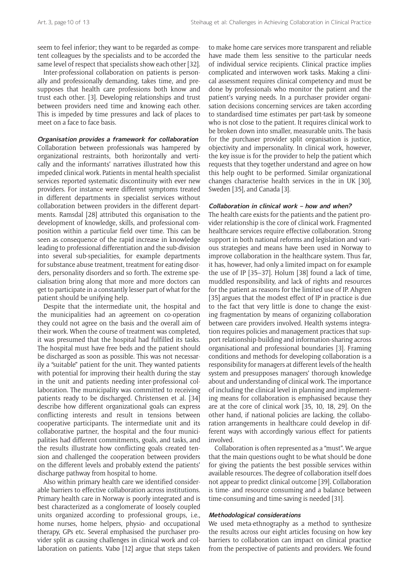seem to feel inferior; they want to be regarded as competent colleagues by the specialists and to be accorded the same level of respect that specialists show each other [32].

Inter-professional collaboration on patients is personally and professionally demanding, takes time, and presupposes that health care professions both know and trust each other. [3]. Developing relationships and trust between providers need time and knowing each other. This is impeded by time pressures and lack of places to meet on a face to face basis.

#### **Organisation provides a framework for collaboration**

Collaboration between professionals was hampered by organizational restraints, both horizontally and vertically and the informants' narratives illustrated how this impeded clinical work. Patients in mental health specialist services reported systematic discontinuity with ever new providers. For instance were different symptoms treated in different departments in specialist services without collaboration between providers in the different departments. Ramsdal [28] attributed this organisation to the development of knowledge, skills, and professional composition within a particular field over time. This can be seen as consequence of the rapid increase in knowledge leading to professional differentiation and the sub-division into several sub-specialities, for example departments for substance abuse treatment, treatment for eating disorders, personality disorders and so forth. The extreme specialisation bring along that more and more doctors can get to participate in a constantly lesser part of what for the patient should be unifying help.

Despite that the intermediate unit, the hospital and the municipalities had an agreement on co-operation they could not agree on the basis and the overall aim of their work. When the course of treatment was completed, it was presumed that the hospital had fulfilled its tasks. The hospital must have free beds and the patient should be discharged as soon as possible. This was not necessarily a "suitable" patient for the unit. They wanted patients with potential for improving their health during the stay in the unit and patients needing inter-professional collaboration. The municipality was committed to receiving patients ready to be discharged. Christensen et al. [34] describe how different organizational goals can express conflicting interests and result in tensions between cooperative participants. The intermediate unit and its collaborative partner, the hospital and the four municipalities had different commitments, goals, and tasks, and the results illustrate how conflicting goals created tension and challenged the cooperation between providers on the different levels and probably extend the patients' discharge pathway from hospital to home.

Also within primary health care we identified considerable barriers to effective collaboration across institutions. Primary health care in Norway is poorly integrated and is best characterized as a conglomerate of loosely coupled units organized according to professional groups, i.e., home nurses, home helpers, physio- and occupational therapy, GPs etc. Several emphasised the purchaser provider split as causing challenges in clinical work and collaboration on patients. Vabø [12] argue that steps taken

to make home care services more transparent and reliable have made them less sensitive to the particular needs of individual service recipients. Clinical practice implies complicated and interwoven work tasks. Making a clinical assessment requires clinical competency and must be done by professionals who monitor the patient and the patient's varying needs. In a purchaser provider organisation decisions concerning services are taken according to standardised time estimates per part-task by someone who is not close to the patient. It requires clinical work to be broken down into smaller, measurable units. The basis for the purchaser provider split organisation is justice, objectivity and impersonality. In clinical work, however, the key issue is for the provider to help the patient which requests that they together understand and agree on how this help ought to be performed. Similar organizational changes characterise health services in the in UK [30], Sweden [35], and Canada [3].

#### **Collaboration in clinical work – how and when?**

The health care exists for the patients and the patient provider relationship is the core of clinical work. Fragmented healthcare services require effective collaboration. Strong support in both national reforms and legislation and various strategies and means have been used in Norway to improve collaboration in the healthcare system. Thus far, it has, however, had only a limited impact on for example the use of IP [35–37]. Holum [38] found a lack of time, muddled responsibility, and lack of rights and resources for the patient as reasons for the limited use of IP. Ahgren [35] argues that the modest effect of IP in practice is due to the fact that very little is done to change the existing fragmentation by means of organizing collaboration between care providers involved. Health systems integration requires policies and management practices that support relationship-building and information-sharing across organisational and professional boundaries [3]. Framing conditions and methods for developing collaboration is a responsibility for managers at different levels of the health system and presupposes managers' thorough knowledge about and understanding of clinical work. The importance of including the clinical level in planning and implementing means for collaboration is emphasised because they are at the core of clinical work [35, 10, 18, 29]. On the other hand, if national policies are lacking, the collaboration arrangements in healthcare could develop in different ways with accordingly various effect for patients involved.

Collaboration is often represented as a "must". We argue that the main questions ought to be what should be done for giving the patients the best possible services within available resources. The degree of collaboration itself does not appear to predict clinical outcome [39]. Collaboration is time- and resource consuming and a balance between time-consuming and time-saving is needed [31].

#### **Methodological considerations**

We used meta-ethnography as a method to synthesize the results across our eight articles focusing on how key barriers to collaboration can impact on clinical practice from the perspective of patients and providers. We found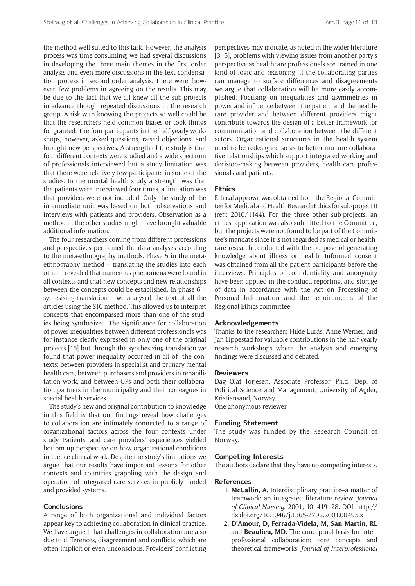the method well suited to this task. However, the analysis process was time-consuming; we had several discussions in developing the three main themes in the first order analysis and even more discussions in the text condensation process in second order analysis. There were, however, few problems in agreeing on the results. This may be due to the fact that we all knew all the sub-projects in advance though repeated discussions in the research group. A risk with knowing the projects so well could be that the researchers held common biases or took things for granted. The four participants in the half yearly workshops, however, asked questions, raised objections, and brought new perspectives. A strength of the study is that four different contexts were studied and a wide spectrum of professionals interviewed but a study limitation was that there were relatively few participants in some of the studies. In the mental health study a strength was that the patients were interviewed four times, a limitation was that providers were not included. Only the study of the intermediate unit was based on both observations and interviews with patients and providers. Observation as a method in the other studies might have brought valuable additional information.

The four researchers coming from different professions and perspectives performed the data analyses according to the meta-ethnography methods. Phase 5 in the metaethnography method – translating the studies into each other – revealed that numerous phenomena were found in all contexts and that new concepts and new relationships between the concepts could be established. In phase 6 – syntesising translation – we analysed the text of all the articles using the STC method. This allowed us to interpret concepts that encompassed more than one of the studies being synthesized. The significance for collaboration of power inequalities between different professionals was for instance clearly expressed in only one of the original projects [15] but through the synthesizing translation we found that power inequality occurred in all of the contexts: between providers in specialist and primary mental health care, between purchasers and providers in rehabilitation work, and between GPs and both their collaboration partners in the municipality and their colleagues in special health services.

The study's new and original contribution to knowledge in this field is that our findings reveal how challenges to collaboration are intimately connected to a range of organizational factors across the four contexts under study. Patients' and care providers' experiences yielded bottom up perspective on how organizational conditions influence clinical work. Despite the study's limitations we argue that our results have important lessons for other contexts and countries grappling with the design and operation of integrated care services in publicly funded and provided systems.

# **Conclusions**

A range of both organizational and individual factors appear key to achieving collaboration in clinical practice. We have argued that challenges in collaboration are also due to differences, disagreement and conflicts, which are often implicit or even unconscious. Providers' conflicting perspectives may indicate, as noted in the wider literature [3–5], problems with viewing issues from another party's perspective as healthcare professionals are trained in one kind of logic and reasoning. If the collaborating parties can manage to surface differences and disagreements we argue that collaboration will be more easily accomplished. Focusing on inequalities and asymmetries in power and influence between the patient and the healthcare provider and between different providers might contribute towards the design of a better framework for communication and collaboration between the different actors. Organizational structures in the health system need to be redesigned so as to better nurture collaborative relationships which support integrated working and decision-making between providers, health care professionals and patients.

#### **Ethics**

Ethical approval was obtained from the Regional Committee for Medical and Health Research Ethics for sub-project II (ref.: 2010/1144). For the three other sub-projects, an ethics' application was also submitted to the Committee, but the projects were not found to be part of the Committee's mandate since it is not regarded as medical or healthcare research conducted with the purpose of generating knowledge about illness or health. Informed consent was obtained from all the patient participants before the interviews. Principles of confidentiality and anonymity have been applied in the conduct, reporting, and storage of data in accordance with the Act on Processing of Personal Information and the requirements of the Regional Ethics committee.

#### **Acknowledgements**

Thanks to the researchers Hilde Lurås, Anne Werner, and Jan Lippestad for valuable contributions in the half-yearly research workshops where the analysis and emerging findings were discussed and debated.

#### **Reviewers**

Dag Olaf Torjesen, Associate Professor, Ph.d., Dep. of Political Science and Management, University of Agder, Kristiansand, Norway.

One anonymous reviewer.

#### **Funding Statement**

The study was funded by the Research Council of Norway.

#### **Competing Interests**

The authors declare that they have no competing interests.

#### **References**

- 1. **McCallin, A.** Interdisciplinary practice–a matter of teamwork: an integrated literature review. *Journal of Clinical Nursing*. 2001; 10: 419–28. DOI: [http://](http://dx.doi.org/10.1046/j.1365-2702.2001.00495.x) [dx.doi.org/10.1046/j.1365-2702.2001.00495.x](http://dx.doi.org/10.1046/j.1365-2702.2001.00495.x)
- 2. **D'Amour, D, Ferrada-Videla, M, San Martin, RL** and **Beaulieu, MD.** The conceptual basis for interprofessional collaboration: core concepts and theoretical frameworks. *Journal of Interprofessional*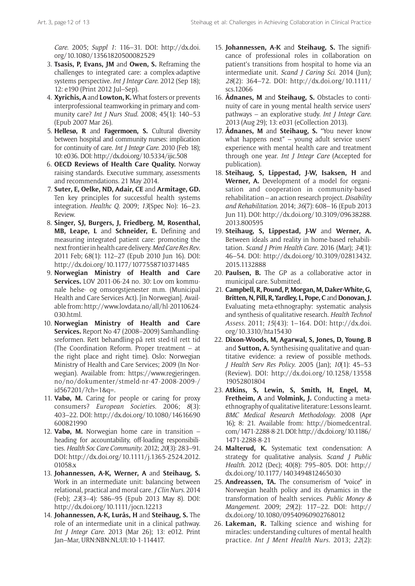*Care*. 2005; *Suppl 1*: 116–31. DOI: [http://dx.doi.](http://dx.doi.org/10.1080/13561820500082529) [org/10.1080/13561820500082529](http://dx.doi.org/10.1080/13561820500082529)

- 3. **Tsasis, P, Evans, JM** and **Owen, S.** Reframing the challenges to integrated care: a complex-adaptive systems perspective. *Int J Integr Care*. 2012 (Sep 18); 12: e190 (Print 2012 Jul–Sep).
- 4. **Xyrichis, A** and **Lowton, K.** What fosters or prevents interprofessional teamworking in primary and community care? *Int J Nurs Stud*. 2008; 45(1): 140–53 (Epub 2007 Mar 26).
- 5. **Hellesø, R** and **Fagermoen, S.** Cultural diversity between hospital and community nurses: implication for continuity of care. *Int J Integr Care*. 2010 (Feb 18); 10: e036. DOI: <http://dx.doi.org/10.5334/ijic.508>
- 6. **OECD Reviews of Health Care Quality.** Norway raising standards. Executive summary, assessments and recommendations. 21 May 2014.
- 7. **Suter, E, Oelke, ND, Adair, CE** and **Armitage, GD.** Ten key principles for successful health systems integration. *Healthc Q*. 2009; *13*(Spec No): 16–23. Review.
- 8. **Singer, SJ, Burgers, J, Friedberg, M, Rosenthal, MB, Leape, L** and **Schneider, E.** Defining and measuring integrated patient care: promoting the next frontier in health care delivery. *Med Care Res Rev*. 2011 Feb; 68(1): 112–27 (Epub 2010 Jun 16). DOI: <http://dx.doi.org/10.1177/1077558710371485>
- 9. **Norwegian Ministry of Health and Care Services.** LOV 2011-06-24 no. 30: Lov om kommunale helse- og omsorgstjenester m.m. (Municipal Health and Care Services Act). [in Norwegian]. Available from: [http://www.lovdata.no/all/hl-20110624-](http://www.lovdata.no/all/hl-20110624-030.html) [030.html.](http://www.lovdata.no/all/hl-20110624-030.html)
- 10. **Norwegian Ministry of Health and Care Services.** Report No 47 (2008–2009) Samhandlingsreformen. Rett behandling-på rett sted-til rett tid (The Coordination Reform. Proper treatment – at the right place and right time). Oslo: Norwegian Ministry of Health and Care Services; 2009 (In Norwegian). Available from: [https://www.regjeringen.](https://www.regjeringen.no/no/dokumenter/stmeld-nr-47-2008-2009-/id567201/?ch=1&q=) [no/no/dokumenter/stmeld-nr-47-2008-2009-/](https://www.regjeringen.no/no/dokumenter/stmeld-nr-47-2008-2009-/id567201/?ch=1&q=) [id567201/?ch=1&q=.](https://www.regjeringen.no/no/dokumenter/stmeld-nr-47-2008-2009-/id567201/?ch=1&q=)
- 11. **Vabø, M.** Caring for people or caring for proxy consumers? *European Societies*. 2006; *8*(3): 403–22. DOI: [http://dx.doi.org/10.1080/14616690](http://dx.doi.org/10.1080/14616690600821990) [600821990](http://dx.doi.org/10.1080/14616690600821990)
- 12. **Vabø, M.** Norwegian home care in transition heading for accountability, off-loading responsibilities. *Health Soc Care Community*. 2012; *20*(3): 283–91. DOI: [http://dx.doi.org/10.1111/j.1365-2524.2012.](http://dx.doi.org/10.1111/j.1365-2524.2012.01058.x) [01058.x](http://dx.doi.org/10.1111/j.1365-2524.2012.01058.x)
- 13. **Johannessen, A-K, Werner, A** and **Steihaug, S.** Work in an intermediate unit: balancing between relational, practical and moral care. *J Clin Nurs*. 2014 (Feb); *23*(3–4): 586–95 (Epub 2013 May 8). DOI: <http://dx.doi.org/10.1111/jocn.12213>
- 14. **Johannessen, A-K, Lurås, H** and **Steihaug, S.** The role of an intermediate unit in a clinical pathway. *Int J Integr Care*. 2013 (Mar 26); 13: e012. Print Jan–Mar, URN:NBN:NL:UI:10-1-114417.
- 15. **Johannessen, A-K** and **Steihaug, S.** The significance of professional roles in collaboration on patient's transitions from hospital to home via an intermediate unit. *Scand J Caring Sci*. 2014 (Jun); *28*(2): 364–72. DOI: [http://dx.doi.org/10.1111/](http://dx.doi.org/10.1111/scs.12066) [scs.12066](http://dx.doi.org/10.1111/scs.12066)
- 16. **Ådnanes, M** and **Steihaug, S.** Obstacles to continuity of care in young mental health service users' pathways – an explorative study. *Int J Integr Care*. 2013 (Aug 29); 13: e031 (eCollection 2013).
- 17. **Ådnanes, M** and **Steihaug, S.** "You never know what happens next" – young adult service users' experience with mental health care and treatment through one year. *Int J Integr Care* (Accepted for publication).
- 18. **Steihaug, S, Lippestad, J-W, Isaksen, H** and **Werner, A.** Development of a model for organisation and cooperation in community-based rehabilitation – an action research project. *Disability and Rehabilitation*. 2014; *36*(7): 608–16 (Epub 2013 Jun 11). DOI: [http://dx.doi.org/10.3109/09638288.](http://dx.doi.org/10.3109/09638288.2013.800595) [2013.800595](http://dx.doi.org/10.3109/09638288.2013.800595)
- 19. **Steihaug, S, Lippestad, J-W** and **Werner, A.** Between ideals and reality in home-based rehabilitation. *Scand J Prim Health Care*. 2016 (Mar); *34*(1): 46–54. DOI: [http://dx.doi.org/10.3109/02813432.](http://dx.doi.org/10.3109/02813432.2015.1132888) [2015.1132888](http://dx.doi.org/10.3109/02813432.2015.1132888)
- 20. **Paulsen, B.** The GP as a collaborative actor in municipal care. Submitted.
- 21. **Campbell, R, Pound, P, Morgan, M, Daker-White, G, Britten, N, Pill, R, Yardley, L, Pope, C** and **Donovan, J.** Evaluating meta-ethnography: systematic analysis and synthesis of qualitative research. *Health Technol Assess*. 2011; *15*(43): 1–164. DOI: [http://dx.doi.](http://dx.doi.org/10.3310/hta15430) [org/10.3310/hta15430](http://dx.doi.org/10.3310/hta15430)
- 22. **Dixon-Woods, M, Agarwal, S, Jones, D, Young, B** and **Sutton, A.** Synthesising qualitative and quantitative evidence: a review of possible methods. *J Health Serv Res Policy*. 2005 (Jan); *10*(1): 45–53 (Review). DOI: [http://dx.doi.org/10.1258/13558](http://dx.doi.org/10.1258/1355819052801804) [19052801804](http://dx.doi.org/10.1258/1355819052801804)
- 23. **Atkins, S, Lewin, S, Smith, H, Engel, M, Fretheim, A** and **Volmink, J.** Conducting a metaethnography of qualitative literature: Lessons learnt. *BMC Medical Research Methodology*. 2008 (Apr 16); 8: 21. Available from: [http://biomedcentral.](http://biomedcentral.com/1471-2288-8-21) [com/1471-2288-8-21.](http://biomedcentral.com/1471-2288-8-21) DOI: [http://dx.doi.org/10.1186/](http://dx.doi.org/10.1186/1471-2288-8-21) [1471-2288-8-21](http://dx.doi.org/10.1186/1471-2288-8-21)
- 24. **Malterud, K.** Systematic text condensation: A strategy for qualitative analysis. *Scand J Public Health*. 2012 (Dec); 40(8): 795–805. DOI: [http://](http://dx.doi.org/10.1177/1403494812465030) [dx.doi.org/10.1177/1403494812465030](http://dx.doi.org/10.1177/1403494812465030)
- 25. **Andreassen, TA.** The consumerism of "voice" in Norwegian health policy and its dynamics in the transformation of health services. *Public Money & Mangement*. 2009; *29*(2): 117–22. DOI: [http://](http://dx.doi.org/10.1080/09540960902768012) [dx.doi.org/10.1080/09540960902768012](http://dx.doi.org/10.1080/09540960902768012)
- 26. **Lakeman, R.** Talking science and wishing for miracles: understanding cultures of mental health practice. *Int J Ment Health Nurs*. 2013; *22*(2):